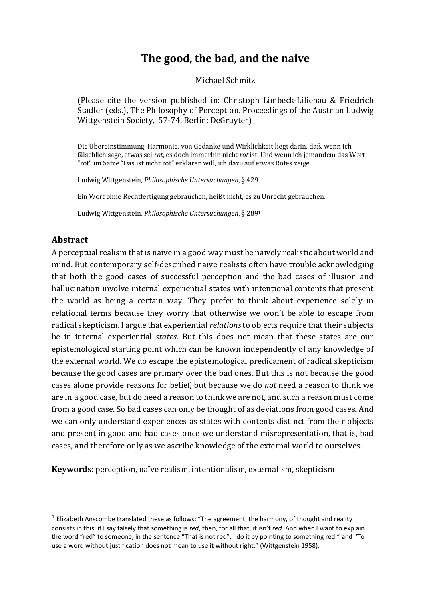# **The good, the bad, and the naive**

Michael Schmitz

(Please cite the version published in: Christoph Limbeck-Lilienau & Friedrich Stadler (eds.), The Philosophy of Perception. Proceedings of the Austrian Ludwig Wittgenstein Society, 57-74, Berlin: DeGruyter)

Die Übereinstimmung, Harmonie, von Gedanke und Wirklichkeit liegt darin, daß, wenn ich fälschlich sage, etwas sei *rot*, es doch immerhin nicht *rot* ist. Und wenn ich jemandem das Wort "rot" im Satze "Das ist nicht rot" erklären will, ich dazu auf etwas Rotes zeige.

Ludwig Wittgenstein, *Philosophische Untersuchungen*, § 429

Ein Wort ohne Rechtfertigung gebrauchen, heißt nicht, es zu Unrecht gebrauchen.

Ludwig Wittgenstein, *Philosophische Untersuchungen*, § 289<sup>1</sup>

## **Abstract**

A perceptual realism that is naive in a good way must be naively realistic about world and mind. But contemporary self-described naive realists often have trouble acknowledging that both the good cases of successful perception and the bad cases of illusion and hallucination involve internal experiential states with intentional contents that present the world as being a certain way. They prefer to think about experience solely in relational terms because they worry that otherwise we won't be able to escape from radical skepticism. I argue that experiential *relations* to objects require that their subjects be in internal experiential *states*. But this does not mean that these states are our epistemological starting point which can be known independently of any knowledge of the external world. We do escape the epistemological predicament of radical skepticism because the good cases are primary over the bad ones. But this is not because the good cases alone provide reasons for belief, but because we do *not* need a reason to think we are in a good case, but do need a reason to think we are not, and such a reason must come from a good case. So bad cases can only be thought of as deviations from good cases. And we can only understand experiences as states with contents distinct from their objects and present in good and bad cases once we understand misrepresentation, that is, bad cases, and therefore only as we ascribe knowledge of the external world to ourselves.

**Keywords**: perception, naïve realism, intentionalism, externalism, skepticism

 $1$  Elizabeth Anscombe translated these as follows: "The agreement, the harmony, of thought and reality consists in this: if I say falsely that something is *red*, then, for all that, it isn't *red*. And when I want to explain the word "red" to someone, in the sentence "That is not red", I do it by pointing to something red." and "To use a word without justification does not mean to use it without right." (Wittgenstein 1958).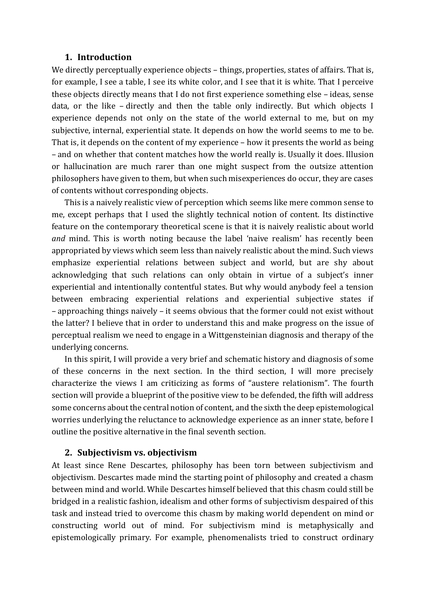## **1. Introduction**

We directly perceptually experience objects  $-$  things, properties, states of affairs. That is, for example, I see a table, I see its white color, and I see that it is white. That I perceive these objects directly means that I do not first experience something else  $-$  ideas, sense data, or the like - directly and then the table only indirectly. But which objects I experience depends not only on the state of the world external to me, but on my subjective, internal, experiential state. It depends on how the world seems to me to be. That is, it depends on the content of my experience  $-$  how it presents the world as being – and on whether that content matches how the world really is. Usually it does. Illusion or hallucination are much rarer than one might suspect from the outsize attention philosophers have given to them, but when such misexperiences do occur, they are cases of contents without corresponding objects.

This is a naively realistic view of perception which seems like mere common sense to me, except perhaps that I used the slightly technical notion of content. Its distinctive feature on the contemporary theoretical scene is that it is naively realistic about world *and* mind. This is worth noting because the label 'naive realism' has recently been appropriated by views which seem less than naively realistic about the mind. Such views emphasize experiential relations between subject and world, but are shy about acknowledging that such relations can only obtain in virtue of a subject's inner experiential and intentionally contentful states. But why would anybody feel a tension between embracing experiential relations and experiential subjective states if  $-$  approaching things naively  $-$  it seems obvious that the former could not exist without the latter? I believe that in order to understand this and make progress on the issue of perceptual realism we need to engage in a Wittgensteinian diagnosis and therapy of the underlying concerns.

In this spirit, I will provide a very brief and schematic history and diagnosis of some of these concerns in the next section. In the third section, I will more precisely characterize the views I am criticizing as forms of "austere relationism". The fourth section will provide a blueprint of the positive view to be defended, the fifth will address some concerns about the central notion of content, and the sixth the deep epistemological worries underlying the reluctance to acknowledge experience as an inner state, before I outline the positive alternative in the final seventh section.

## **2. Subjectivism vs. objectivism**

At least since Rene Descartes, philosophy has been torn between subjectivism and objectivism. Descartes made mind the starting point of philosophy and created a chasm between mind and world. While Descartes himself believed that this chasm could still be bridged in a realistic fashion, idealism and other forms of subjectivism despaired of this task and instead tried to overcome this chasm by making world dependent on mind or constructing world out of mind. For subjectivism mind is metaphysically and epistemologically primary. For example, phenomenalists tried to construct ordinary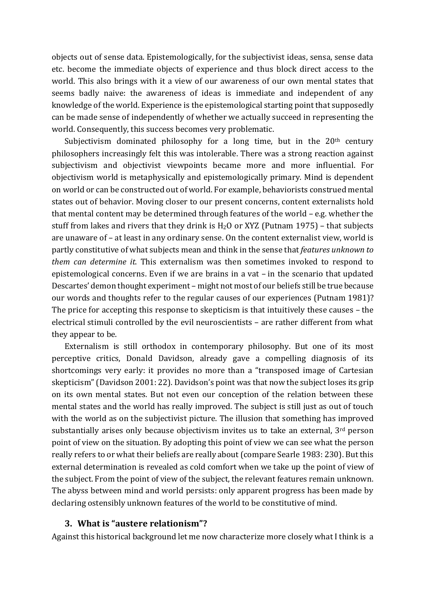objects out of sense data. Epistemologically, for the subjectivist ideas, sensa, sense data etc. become the immediate objects of experience and thus block direct access to the world. This also brings with it a view of our awareness of our own mental states that seems badly naive: the awareness of ideas is immediate and independent of any knowledge of the world. Experience is the epistemological starting point that supposedly can be made sense of independently of whether we actually succeed in representing the world. Consequently, this success becomes very problematic.

Subjectivism dominated philosophy for a long time, but in the  $20<sup>th</sup>$  century philosophers increasingly felt this was intolerable. There was a strong reaction against subjectivism and objectivist viewpoints became more and more influential. For objectivism world is metaphysically and epistemologically primary. Mind is dependent on world or can be constructed out of world. For example, behaviorists construed mental states out of behavior. Moving closer to our present concerns, content externalists hold that mental content may be determined through features of the world  $-$  e.g. whether the stuff from lakes and rivers that they drink is  $H_2O$  or XYZ (Putnam 1975) – that subjects are unaware of - at least in any ordinary sense. On the content externalist view, world is partly constitutive of what subjects mean and think in the sense that *features unknown to them* can determine it. This externalism was then sometimes invoked to respond to epistemological concerns. Even if we are brains in a vat  $-$  in the scenario that updated Descartes' demon thought experiment – might not most of our beliefs still be true because our words and thoughts refer to the regular causes of our experiences (Putnam 1981)? The price for accepting this response to skepticism is that intuitively these causes  $-$  the electrical stimuli controlled by the evil neuroscientists - are rather different from what they appear to be.

Externalism is still orthodox in contemporary philosophy. But one of its most perceptive critics, Donald Davidson, already gave a compelling diagnosis of its shortcomings very early: it provides no more than a "transposed image of Cartesian skepticism" (Davidson 2001: 22). Davidson's point was that now the subject loses its grip on its own mental states. But not even our conception of the relation between these mental states and the world has really improved. The subject is still just as out of touch with the world as on the subjectivist picture. The illusion that something has improved substantially arises only because objectivism invites us to take an external,  $3<sup>rd</sup>$  person point of view on the situation. By adopting this point of view we can see what the person really refers to or what their beliefs are really about (compare Searle 1983: 230). But this external determination is revealed as cold comfort when we take up the point of view of the subject. From the point of view of the subject, the relevant features remain unknown. The abyss between mind and world persists: only apparent progress has been made by declaring ostensibly unknown features of the world to be constitutive of mind.

## **3. What is "austere relationism"?**

Against this historical background let me now characterize more closely what I think is a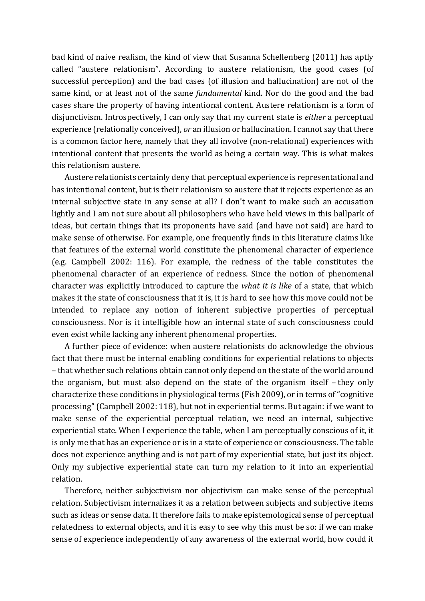bad kind of naive realism, the kind of view that Susanna Schellenberg (2011) has aptly called "austere relationism". According to austere relationism, the good cases (of successful perception) and the bad cases (of illusion and hallucination) are not of the same kind, or at least not of the same *fundamental* kind. Nor do the good and the bad cases share the property of having intentional content. Austere relationism is a form of disjunctivism. Introspectively, I can only say that my current state is *either* a perceptual experience (relationally conceived), *or* an illusion or hallucination. I cannot say that there is a common factor here, namely that they all involve (non-relational) experiences with intentional content that presents the world as being a certain way. This is what makes this relationism austere.

Austere relationists certainly deny that perceptual experience is representational and has intentional content, but is their relationism so austere that it rejects experience as an internal subjective state in any sense at all? I don't want to make such an accusation lightly and I am not sure about all philosophers who have held views in this ballpark of ideas, but certain things that its proponents have said (and have not said) are hard to make sense of otherwise. For example, one frequently finds in this literature claims like that features of the external world constitute the phenomenal character of experience (e.g. Campbell 2002: 116). For example, the redness of the table constitutes the phenomenal character of an experience of redness. Since the notion of phenomenal character was explicitly introduced to capture the *what it is like* of a state, that which makes it the state of consciousness that it is, it is hard to see how this move could not be intended to replace any notion of inherent subjective properties of perceptual consciousness. Nor is it intelligible how an internal state of such consciousness could even exist while lacking any inherent phenomenal properties.

A further piece of evidence: when austere relationists do acknowledge the obvious fact that there must be internal enabling conditions for experiential relations to objects – that whether such relations obtain cannot only depend on the state of the world around the organism, but must also depend on the state of the organism itself  $-$  they only characterize these conditions in physiological terms (Fish 2009), or in terms of "cognitive processing" (Campbell 2002: 118), but not in experiential terms. But again: if we want to make sense of the experiential perceptual relation, we need an internal, subjective experiential state. When I experience the table, when I am perceptually conscious of it, it is only me that has an experience or is in a state of experience or consciousness. The table does not experience anything and is not part of my experiential state, but just its object. Only my subjective experiential state can turn my relation to it into an experiential relation.

Therefore, neither subjectivism nor objectivism can make sense of the perceptual relation. Subjectivism internalizes it as a relation between subjects and subjective items such as ideas or sense data. It therefore fails to make epistemological sense of perceptual relatedness to external objects, and it is easy to see why this must be so: if we can make sense of experience independently of any awareness of the external world, how could it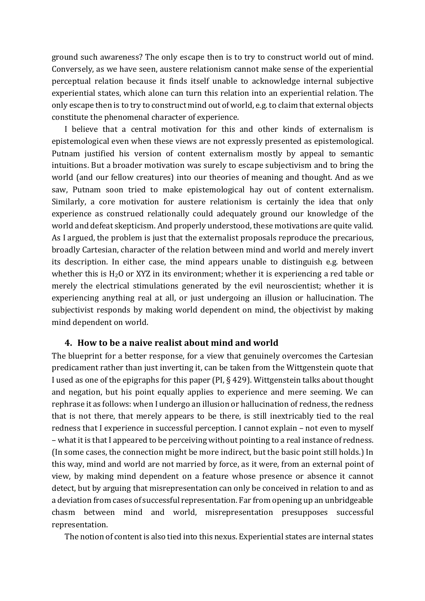ground such awareness? The only escape then is to try to construct world out of mind. Conversely, as we have seen, austere relationism cannot make sense of the experiential perceptual relation because it finds itself unable to acknowledge internal subjective experiential states, which alone can turn this relation into an experiential relation. The only escape then is to try to construct mind out of world, e.g. to claim that external objects constitute the phenomenal character of experience.

I believe that a central motivation for this and other kinds of externalism is epistemological even when these views are not expressly presented as epistemological. Putnam justified his version of content externalism mostly by appeal to semantic intuitions. But a broader motivation was surely to escape subjectivism and to bring the world (and our fellow creatures) into our theories of meaning and thought. And as we saw, Putnam soon tried to make epistemological hay out of content externalism. Similarly, a core motivation for austere relationism is certainly the idea that only experience as construed relationally could adequately ground our knowledge of the world and defeat skepticism. And properly understood, these motivations are quite valid. As I argued, the problem is just that the externalist proposals reproduce the precarious, broadly Cartesian, character of the relation between mind and world and merely invert its description. In either case, the mind appears unable to distinguish e.g. between whether this is  $H_2O$  or XYZ in its environment; whether it is experiencing a red table or merely the electrical stimulations generated by the evil neuroscientist; whether it is experiencing anything real at all, or just undergoing an illusion or hallucination. The subjectivist responds by making world dependent on mind, the objectivist by making mind dependent on world.

## **4. How to be a naive realist about mind and world**

The blueprint for a better response, for a view that genuinely overcomes the Cartesian predicament rather than just inverting it, can be taken from the Wittgenstein quote that I used as one of the epigraphs for this paper (PI,  $\S$  429). Wittgenstein talks about thought and negation, but his point equally applies to experience and mere seeming. We can rephrase it as follows: when I undergo an illusion or hallucination of redness, the redness that is not there, that merely appears to be there, is still inextricably tied to the real redness that I experience in successful perception. I cannot explain - not even to myself – what it is that I appeared to be perceiving without pointing to a real instance of redness. (In some cases, the connection might be more indirect, but the basic point still holds.) In this way, mind and world are not married by force, as it were, from an external point of view, by making mind dependent on a feature whose presence or absence it cannot detect, but by arguing that misrepresentation can only be conceived in relation to and as a deviation from cases of successful representation. Far from opening up an unbridgeable chasm between mind and world, misrepresentation presupposes successful representation.

The notion of content is also tied into this nexus. Experiential states are internal states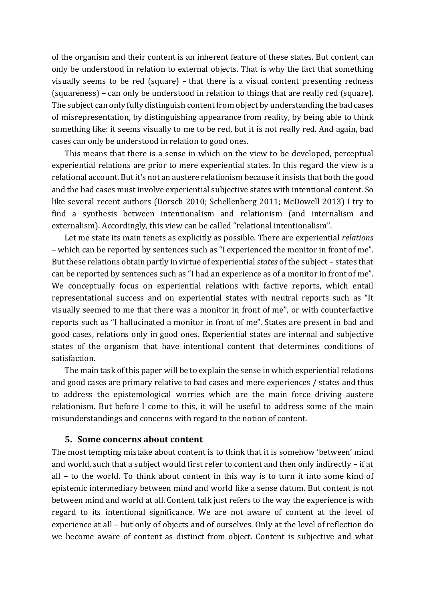of the organism and their content is an inherent feature of these states. But content can only be understood in relation to external objects. That is why the fact that something visually seems to be red (square)  $-$  that there is a visual content presenting redness (squareness) – can only be understood in relation to things that are really red (square). The subject can only fully distinguish content from object by understanding the bad cases of misrepresentation, by distinguishing appearance from reality, by being able to think something like: it seems visually to me to be red, but it is not really red. And again, bad cases can only be understood in relation to good ones.

This means that there is a sense in which on the view to be developed, perceptual experiential relations are prior to mere experiential states. In this regard the view is a relational account. But it's not an austere relationism because it insists that both the good and the bad cases must involve experiential subjective states with intentional content. So like several recent authors (Dorsch 2010; Schellenberg 2011; McDowell 2013) I try to find a synthesis between intentionalism and relationism (and internalism and externalism). Accordingly, this view can be called "relational intentionalism".

Let me state its main tenets as explicitly as possible. There are experiential *relations* – which can be reported by sentences such as "I experienced the monitor in front of me". But these relations obtain partly in virtue of experiential *states* of the subject – states that can be reported by sentences such as "I had an experience as of a monitor in front of me". We conceptually focus on experiential relations with factive reports, which entail representational success and on experiential states with neutral reports such as "It visually seemed to me that there was a monitor in front of me", or with counterfactive reports such as "I hallucinated a monitor in front of me". States are present in bad and good cases, relations only in good ones. Experiential states are internal and subjective states of the organism that have intentional content that determines conditions of satisfaction.

The main task of this paper will be to explain the sense in which experiential relations and good cases are primary relative to bad cases and mere experiences / states and thus to address the epistemological worries which are the main force driving austere relationism. But before I come to this, it will be useful to address some of the main misunderstandings and concerns with regard to the notion of content.

#### **5. Some concerns about content**

The most tempting mistake about content is to think that it is somehow 'between' mind and world, such that a subject would first refer to content and then only indirectly - if at all  $-$  to the world. To think about content in this way is to turn it into some kind of epistemic intermediary between mind and world like a sense datum. But content is not between mind and world at all. Content talk just refers to the way the experience is with regard to its intentional significance. We are not aware of content at the level of experience at all – but only of objects and of ourselves. Only at the level of reflection do we become aware of content as distinct from object. Content is subjective and what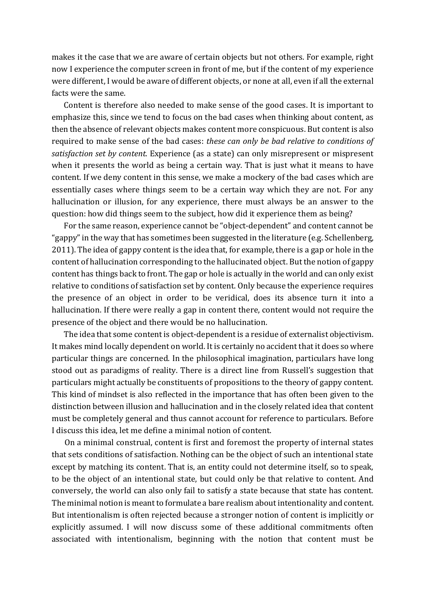makes it the case that we are aware of certain objects but not others. For example, right now I experience the computer screen in front of me, but if the content of my experience were different, I would be aware of different objects, or none at all, even if all the external facts were the same.

Content is therefore also needed to make sense of the good cases. It is important to emphasize this, since we tend to focus on the bad cases when thinking about content, as then the absence of relevant objects makes content more conspicuous. But content is also required to make sense of the bad cases: *these can only be bad relative to conditions of satisfaction set by content.* Experience (as a state) can only misrepresent or mispresent when it presents the world as being a certain way. That is just what it means to have content. If we deny content in this sense, we make a mockery of the bad cases which are essentially cases where things seem to be a certain way which they are not. For any hallucination or illusion, for any experience, there must always be an answer to the question: how did things seem to the subject, how did it experience them as being?

For the same reason, experience cannot be "object-dependent" and content cannot be "gappy" in the way that has sometimes been suggested in the literature (e.g. Schellenberg, 2011). The idea of gappy content is the idea that, for example, there is a gap or hole in the content of hallucination corresponding to the hallucinated object. But the notion of gappy content has things back to front. The gap or hole is actually in the world and can only exist relative to conditions of satisfaction set by content. Only because the experience requires the presence of an object in order to be veridical, does its absence turn it into a hallucination. If there were really a gap in content there, content would not require the presence of the object and there would be no hallucination.

The idea that some content is object-dependent is a residue of externalist objectivism. It makes mind locally dependent on world. It is certainly no accident that it does so where particular things are concerned. In the philosophical imagination, particulars have long stood out as paradigms of reality. There is a direct line from Russell's suggestion that particulars might actually be constituents of propositions to the theory of gappy content. This kind of mindset is also reflected in the importance that has often been given to the distinction between illusion and hallucination and in the closely related idea that content must be completely general and thus cannot account for reference to particulars. Before I discuss this idea, let me define a minimal notion of content.

On a minimal construal, content is first and foremost the property of internal states that sets conditions of satisfaction. Nothing can be the object of such an intentional state except by matching its content. That is, an entity could not determine itself, so to speak, to be the object of an intentional state, but could only be that relative to content. And conversely, the world can also only fail to satisfy a state because that state has content. The minimal notion is meant to formulate a bare realism about intentionality and content. But intentionalism is often rejected because a stronger notion of content is implicitly or explicitly assumed. I will now discuss some of these additional commitments often associated with intentionalism, beginning with the notion that content must be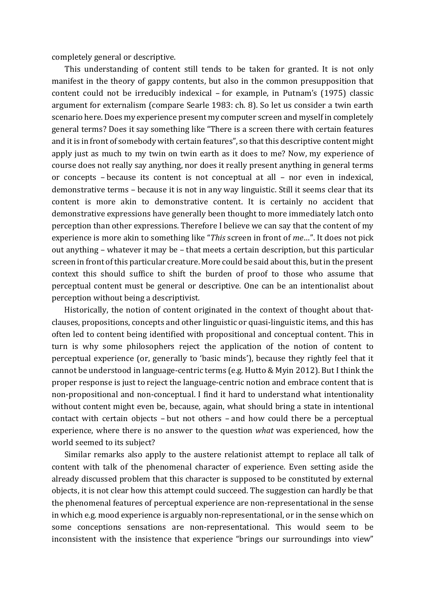completely general or descriptive.

This understanding of content still tends to be taken for granted. It is not only manifest in the theory of gappy contents, but also in the common presupposition that content could not be irreducibly indexical – for example, in Putnam's (1975) classic argument for externalism (compare Searle 1983: ch. 8). So let us consider a twin earth scenario here. Does my experience present my computer screen and myself in completely general terms? Does it say something like "There is a screen there with certain features and it is in front of somebody with certain features", so that this descriptive content might apply just as much to my twin on twin earth as it does to me? Now, my experience of course does not really say anything, nor does it really present anything in general terms or concepts – because its content is not conceptual at all – nor even in indexical, demonstrative terms – because it is not in any way linguistic. Still it seems clear that its content is more akin to demonstrative content. It is certainly no accident that demonstrative expressions have generally been thought to more immediately latch onto perception than other expressions. Therefore I believe we can say that the content of my experience is more akin to something like "This screen in front of me...". It does not pick out anything – whatever it may be – that meets a certain description, but this particular screen in front of this particular creature. More could be said about this, but in the present context this should suffice to shift the burden of proof to those who assume that perceptual content must be general or descriptive. One can be an intentionalist about perception without being a descriptivist.

Historically, the notion of content originated in the context of thought about thatclauses, propositions, concepts and other linguistic or quasi-linguistic items, and this has often led to content being identified with propositional and conceptual content. This in turn is why some philosophers reject the application of the notion of content to perceptual experience (or, generally to 'basic minds'), because they rightly feel that it cannot be understood in language-centric terms (e.g. Hutto & Myin 2012). But I think the proper response is just to reject the language-centric notion and embrace content that is non-propositional and non-conceptual. I find it hard to understand what intentionality without content might even be, because, again, what should bring a state in intentional contact with certain objects  $-$  but not others  $-$  and how could there be a perceptual experience, where there is no answer to the question *what* was experienced, how the world seemed to its subject?

Similar remarks also apply to the austere relationist attempt to replace all talk of content with talk of the phenomenal character of experience. Even setting aside the already discussed problem that this character is supposed to be constituted by external objects, it is not clear how this attempt could succeed. The suggestion can hardly be that the phenomenal features of perceptual experience are non-representational in the sense in which e.g. mood experience is arguably non-representational, or in the sense which on some conceptions sensations are non-representational. This would seem to be inconsistent with the insistence that experience "brings our surroundings into view"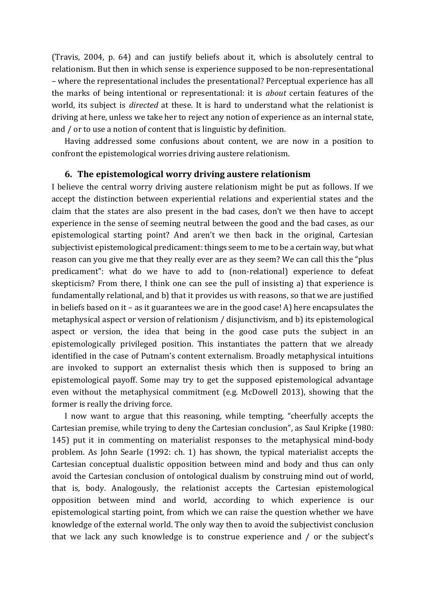(Travis, 2004, p. 64) and can justify beliefs about it, which is absolutely central to relationism. But then in which sense is experience supposed to be non-representational – where the representational includes the presentational? Perceptual experience has all the marks of being intentional or representational: it is *about* certain features of the world, its subject is *directed* at these. It is hard to understand what the relationist is driving at here, unless we take her to reject any notion of experience as an internal state, and / or to use a notion of content that is linguistic by definition.

Having addressed some confusions about content, we are now in a position to confront the epistemological worries driving austere relationism.

## **6.** The epistemological worry driving austere relationism

I believe the central worry driving austere relationism might be put as follows. If we accept the distinction between experiential relations and experiential states and the claim that the states are also present in the bad cases, don't we then have to accept experience in the sense of seeming neutral between the good and the bad cases, as our epistemological starting point? And aren't we then back in the original, Cartesian subjectivist epistemological predicament: things seem to me to be a certain way, but what reason can you give me that they really ever are as they seem? We can call this the "plus predicament": what do we have to add to (non-relational) experience to defeat skepticism? From there, I think one can see the pull of insisting a) that experience is fundamentally relational, and b) that it provides us with reasons, so that we are justified in beliefs based on it – as it guarantees we are in the good case! A) here encapsulates the metaphysical aspect or version of relationism / disjunctivism, and b) its epistemological aspect or version, the idea that being in the good case puts the subject in an epistemologically privileged position. This instantiates the pattern that we already identified in the case of Putnam's content externalism. Broadly metaphysical intuitions are invoked to support an externalist thesis which then is supposed to bring an epistemological payoff. Some may try to get the supposed epistemological advantage even without the metaphysical commitment (e.g. McDowell 2013), showing that the former is really the driving force.

I now want to argue that this reasoning, while tempting, "cheerfully accepts the Cartesian premise, while trying to deny the Cartesian conclusion", as Saul Kripke (1980: 145) put it in commenting on materialist responses to the metaphysical mind-body problem. As John Searle (1992: ch. 1) has shown, the typical materialist accepts the Cartesian conceptual dualistic opposition between mind and body and thus can only avoid the Cartesian conclusion of ontological dualism by construing mind out of world, that is, body. Analogously, the relationist accepts the Cartesian epistemological opposition between mind and world, according to which experience is our epistemological starting point, from which we can raise the question whether we have knowledge of the external world. The only way then to avoid the subjectivist conclusion that we lack any such knowledge is to construe experience and  $\ell$  or the subject's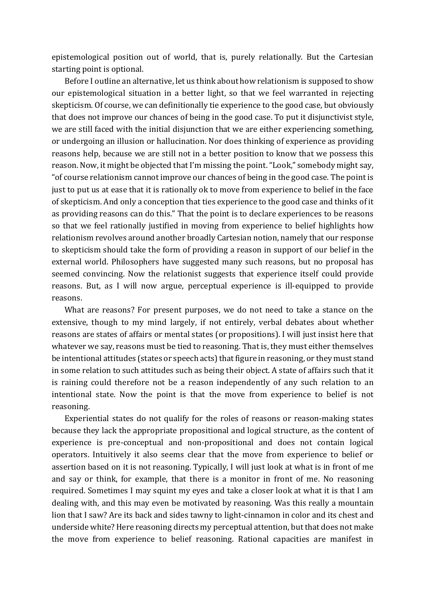epistemological position out of world, that is, purely relationally. But the Cartesian starting point is optional.

Before I outline an alternative, let us think about how relationism is supposed to show our epistemological situation in a better light, so that we feel warranted in rejecting skepticism. Of course, we can definitionally tie experience to the good case, but obviously that does not improve our chances of being in the good case. To put it disjunctivist style, we are still faced with the initial disjunction that we are either experiencing something, or undergoing an illusion or hallucination. Nor does thinking of experience as providing reasons help, because we are still not in a better position to know that we possess this reason. Now, it might be objected that I'm missing the point. "Look," somebody might say, " of course relationism cannot improve our chances of being in the good case. The point is just to put us at ease that it is rationally ok to move from experience to belief in the face of skepticism. And only a conception that ties experience to the good case and thinks of it as providing reasons can do this." That the point is to declare experiences to be reasons so that we feel rationally justified in moving from experience to belief highlights how relationism revolves around another broadly Cartesian notion, namely that our response to skepticism should take the form of providing a reason in support of our belief in the external world. Philosophers have suggested many such reasons, but no proposal has seemed convincing. Now the relationist suggests that experience itself could provide reasons. But, as I will now argue, perceptual experience is ill-equipped to provide reasons. 

What are reasons? For present purposes, we do not need to take a stance on the extensive, though to my mind largely, if not entirely, verbal debates about whether reasons are states of affairs or mental states (or propositions). I will just insist here that whatever we say, reasons must be tied to reasoning. That is, they must either themselves be intentional attitudes (states or speech acts) that figure in reasoning, or they must stand in some relation to such attitudes such as being their object. A state of affairs such that it is raining could therefore not be a reason independently of any such relation to an intentional state. Now the point is that the move from experience to belief is not reasoning.

Experiential states do not qualify for the roles of reasons or reason-making states because they lack the appropriate propositional and logical structure, as the content of experience is pre-conceptual and non-propositional and does not contain logical operators. Intuitively it also seems clear that the move from experience to belief or assertion based on it is not reasoning. Typically, I will just look at what is in front of me and say or think, for example, that there is a monitor in front of me. No reasoning required. Sometimes I may squint my eyes and take a closer look at what it is that I am dealing with, and this may even be motivated by reasoning. Was this really a mountain lion that I saw? Are its back and sides tawny to light-cinnamon in color and its chest and underside white? Here reasoning directs my perceptual attention, but that does not make the move from experience to belief reasoning. Rational capacities are manifest in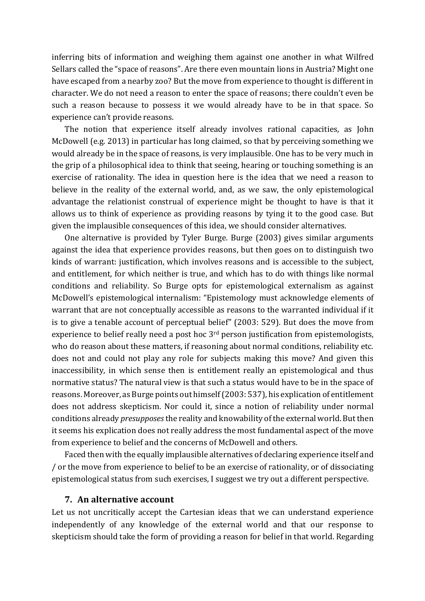inferring bits of information and weighing them against one another in what Wilfred Sellars called the "space of reasons". Are there even mountain lions in Austria? Might one have escaped from a nearby zoo? But the move from experience to thought is different in character. We do not need a reason to enter the space of reasons; there couldn't even be such a reason because to possess it we would already have to be in that space. So experience can't provide reasons.

The notion that experience itself already involves rational capacities, as John McDowell (e.g. 2013) in particular has long claimed, so that by perceiving something we would already be in the space of reasons, is very implausible. One has to be very much in the grip of a philosophical idea to think that seeing, hearing or touching something is an exercise of rationality. The idea in question here is the idea that we need a reason to believe in the reality of the external world, and, as we saw, the only epistemological advantage the relationist construal of experience might be thought to have is that it allows us to think of experience as providing reasons by tying it to the good case. But given the implausible consequences of this idea, we should consider alternatives.

One alternative is provided by Tyler Burge. Burge (2003) gives similar arguments against the idea that experience provides reasons, but then goes on to distinguish two kinds of warrant: justification, which involves reasons and is accessible to the subject, and entitlement, for which neither is true, and which has to do with things like normal conditions and reliability. So Burge opts for epistemological externalism as against McDowell's epistemological internalism: "Epistemology must acknowledge elements of warrant that are not conceptually accessible as reasons to the warranted individual if it is to give a tenable account of perceptual belief" (2003: 529). But does the move from experience to belief really need a post hoc  $3<sup>rd</sup>$  person justification from epistemologists, who do reason about these matters, if reasoning about normal conditions, reliability etc. does not and could not play any role for subjects making this move? And given this inaccessibility, in which sense then is entitlement really an epistemological and thus normative status? The natural view is that such a status would have to be in the space of reasons. Moreover, as Burge points out himself (2003: 537), his explication of entitlement does not address skepticism. Nor could it, since a notion of reliability under normal conditions already *presupposes* the reality and knowability of the external world. But then it seems his explication does not really address the most fundamental aspect of the move from experience to belief and the concerns of McDowell and others.

Faced then with the equally implausible alternatives of declaring experience itself and / or the move from experience to belief to be an exercise of rationality, or of dissociating epistemological status from such exercises, I suggest we try out a different perspective.

## **7. An alternative account**

Let us not uncritically accept the Cartesian ideas that we can understand experience independently of any knowledge of the external world and that our response to skepticism should take the form of providing a reason for belief in that world. Regarding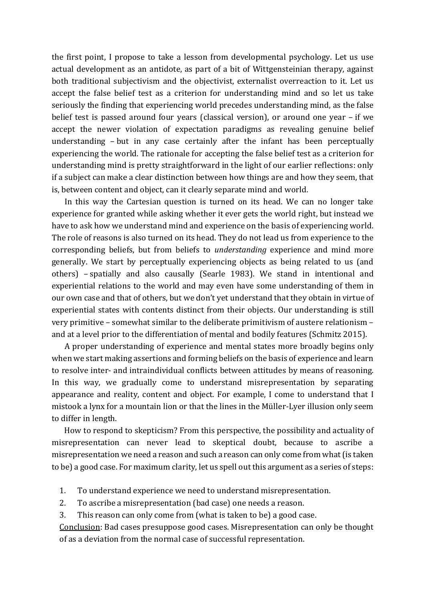the first point, I propose to take a lesson from developmental psychology. Let us use actual development as an antidote, as part of a bit of Wittgensteinian therapy, against both traditional subjectivism and the objectivist, externalist overreaction to it. Let us accept the false belief test as a criterion for understanding mind and so let us take seriously the finding that experiencing world precedes understanding mind, as the false belief test is passed around four years (classical version), or around one year - if we accept the newer violation of expectation paradigms as revealing genuine belief understanding  $-$  but in any case certainly after the infant has been perceptually experiencing the world. The rationale for accepting the false belief test as a criterion for understanding mind is pretty straightforward in the light of our earlier reflections: only if a subject can make a clear distinction between how things are and how they seem, that is, between content and object, can it clearly separate mind and world.

In this way the Cartesian question is turned on its head. We can no longer take experience for granted while asking whether it ever gets the world right, but instead we have to ask how we understand mind and experience on the basis of experiencing world. The role of reasons is also turned on its head. They do not lead us from experience to the corresponding beliefs, but from beliefs to *understanding* experience and mind more generally. We start by perceptually experiencing objects as being related to us (and others) - spatially and also causally (Searle 1983). We stand in intentional and experiential relations to the world and may even have some understanding of them in our own case and that of others, but we don't yet understand that they obtain in virtue of experiential states with contents distinct from their objects. Our understanding is still very primitive - somewhat similar to the deliberate primitivism of austere relationism and at a level prior to the differentiation of mental and bodily features (Schmitz 2015).

A proper understanding of experience and mental states more broadly begins only when we start making assertions and forming beliefs on the basis of experience and learn to resolve inter- and intraindividual conflicts between attitudes by means of reasoning. In this way, we gradually come to understand misrepresentation by separating appearance and reality, content and object. For example, I come to understand that I mistook a lynx for a mountain lion or that the lines in the Müller-Lyer illusion only seem to differ in length.

How to respond to skepticism? From this perspective, the possibility and actuality of misrepresentation can never lead to skeptical doubt, because to ascribe a misrepresentation we need a reason and such a reason can only come from what (is taken to be) a good case. For maximum clarity, let us spell out this argument as a series of steps:

- 1. To understand experience we need to understand misrepresentation.
- 2. To ascribe a misrepresentation (bad case) one needs a reason.
- 3. This reason can only come from (what is taken to be) a good case.

Conclusion: Bad cases presuppose good cases. Misrepresentation can only be thought of as a deviation from the normal case of successful representation.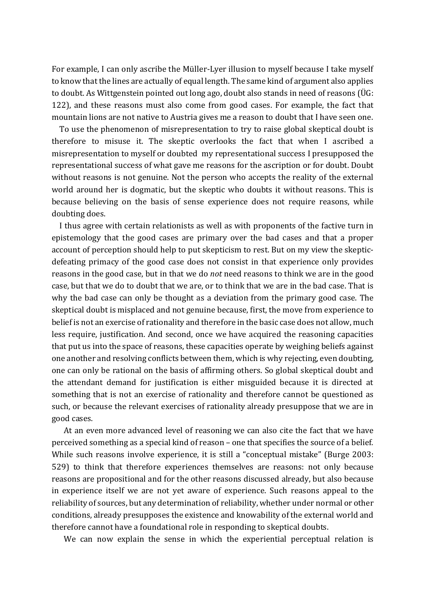For example, I can only ascribe the Müller-Lyer illusion to myself because I take myself to know that the lines are actually of equal length. The same kind of argument also applies to doubt. As Wittgenstein pointed out long ago, doubt also stands in need of reasons ( $\ddot{\text{U}}$ G: 122), and these reasons must also come from good cases. For example, the fact that mountain lions are not native to Austria gives me a reason to doubt that I have seen one.

To use the phenomenon of misrepresentation to try to raise global skeptical doubt is therefore to misuse it. The skeptic overlooks the fact that when I ascribed a misrepresentation to myself or doubted my representational success I presupposed the representational success of what gave me reasons for the ascription or for doubt. Doubt without reasons is not genuine. Not the person who accepts the reality of the external world around her is dogmatic, but the skeptic who doubts it without reasons. This is because believing on the basis of sense experience does not require reasons, while doubting does.

I thus agree with certain relationists as well as with proponents of the factive turn in epistemology that the good cases are primary over the bad cases and that a proper account of perception should help to put skepticism to rest. But on my view the skepticdefeating primacy of the good case does not consist in that experience only provides reasons in the good case, but in that we do *not* need reasons to think we are in the good case, but that we do to doubt that we are, or to think that we are in the bad case. That is why the bad case can only be thought as a deviation from the primary good case. The skeptical doubt is misplaced and not genuine because, first, the move from experience to belief is not an exercise of rationality and therefore in the basic case does not allow, much less require, justification. And second, once we have acquired the reasoning capacities that put us into the space of reasons, these capacities operate by weighing beliefs against one another and resolving conflicts between them, which is why rejecting, even doubting, one can only be rational on the basis of affirming others. So global skeptical doubt and the attendant demand for justification is either misguided because it is directed at something that is not an exercise of rationality and therefore cannot be questioned as such, or because the relevant exercises of rationality already presuppose that we are in good cases.

At an even more advanced level of reasoning we can also cite the fact that we have perceived something as a special kind of reason – one that specifies the source of a belief. While such reasons involve experience, it is still a "conceptual mistake" (Burge 2003: 529) to think that therefore experiences themselves are reasons: not only because reasons are propositional and for the other reasons discussed already, but also because in experience itself we are not yet aware of experience. Such reasons appeal to the reliability of sources, but any determination of reliability, whether under normal or other conditions, already presupposes the existence and knowability of the external world and therefore cannot have a foundational role in responding to skeptical doubts.

We can now explain the sense in which the experiential perceptual relation is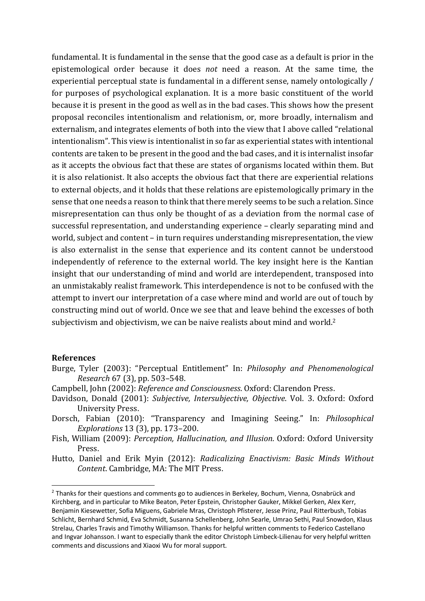fundamental. It is fundamental in the sense that the good case as a default is prior in the epistemological order because it does *not* need a reason. At the same time, the experiential perceptual state is fundamental in a different sense, namely ontologically / for purposes of psychological explanation. It is a more basic constituent of the world because it is present in the good as well as in the bad cases. This shows how the present proposal reconciles intentionalism and relationism, or, more broadly, internalism and externalism, and integrates elements of both into the view that I above called "relational intentionalism". This view is intentionalist in so far as experiential states with intentional contents are taken to be present in the good and the bad cases, and it is internalist insofar as it accepts the obvious fact that these are states of organisms located within them. But it is also relationist. It also accepts the obvious fact that there are experiential relations to external objects, and it holds that these relations are epistemologically primary in the sense that one needs a reason to think that there merely seems to be such a relation. Since misrepresentation can thus only be thought of as a deviation from the normal case of successful representation, and understanding experience – clearly separating mind and world, subject and content - in turn requires understanding misrepresentation, the view is also externalist in the sense that experience and its content cannot be understood independently of reference to the external world. The key insight here is the Kantian insight that our understanding of mind and world are interdependent, transposed into an unmistakably realist framework. This interdependence is not to be confused with the attempt to invert our interpretation of a case where mind and world are out of touch by constructing mind out of world. Once we see that and leave behind the excesses of both subjectivism and objectivism, we can be naive realists about mind and world.<sup>2</sup>

#### **References**

- Burge, Tyler (2003): "Perceptual Entitlement" In: Philosophy and Phenomenological *Research* 67 (3), pp. 503-548.
- Campbell, John (2002): *Reference and Consciousness*. Oxford: Clarendon Press.
- Davidson, Donald (2001): Subjective, Intersubjective, Objective. Vol. 3. Oxford: Oxford University Press.
- Dorsch, Fabian (2010): "Transparency and Imagining Seeing." In: *Philosophical Explorations* 13 (3), pp. 173-200.
- Fish, William (2009): Perception, Hallucination, and Illusion. Oxford: Oxford University Press.
- Hutto, Daniel and Erik Myin (2012): *Radicalizing Enactivism: Basic Minds Without Content.* Cambridge, MA: The MIT Press.

<sup>&</sup>lt;sup>2</sup> Thanks for their questions and comments go to audiences in Berkeley, Bochum, Vienna, Osnabrück and Kirchberg, and in particular to Mike Beaton, Peter Epstein, Christopher Gauker, Mikkel Gerken, Alex Kerr, Benjamin Kiesewetter, Sofia Miguens, Gabriele Mras, Christoph Pfisterer, Jesse Prinz, Paul Ritterbush, Tobias Schlicht, Bernhard Schmid, Eva Schmidt, Susanna Schellenberg, John Searle, Umrao Sethi, Paul Snowdon, Klaus Strelau, Charles Travis and Timothy Williamson. Thanks for helpful written comments to Federico Castellano and Ingvar Johansson. I want to especially thank the editor Christoph Limbeck-Lilienau for very helpful written comments and discussions and Xiaoxi Wu for moral support.